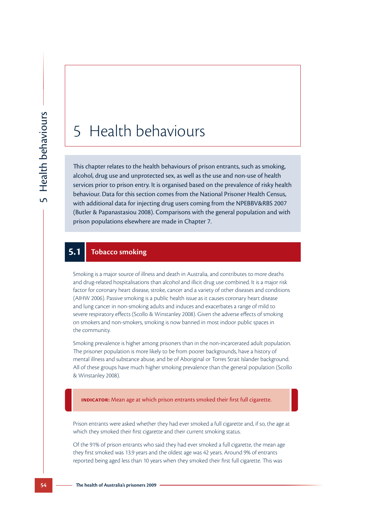# 5 Health behaviours

This chapter relates to the health behaviours of prison entrants, such as smoking, alcohol, drug use and unprotected sex, as well as the use and non-use of health services prior to prison entry. It is organised based on the prevalence of risky health behaviour. Data for this section comes from the National Prisoner Health Census, with additional data for injecting drug users coming from the NPEBBV&RBS 2007 (Butler & Papanastasiou 2008). Comparisons with the general population and with prison populations elsewhere are made in Chapter 7.

## **5.1 Tobacco smoking**

Smoking is a major source of illness and death in Australia, and contributes to more deaths and drug-related hospitalisations than alcohol and illicit drug use combined. It is a major risk factor for coronary heart disease, stroke, cancer and a variety of other diseases and conditions (AIHW 2006). Passive smoking is a public health issue as it causes coronary heart disease and lung cancer in non-smoking adults and induces and exacerbates a range of mild to severe respiratory effects (Scollo & Winstanley 2008). Given the adverse effects of smoking on smokers and non-smokers, smoking is now banned in most indoor public spaces in the community.

Smoking prevalence is higher among prisoners than in the non-incarcerated adult population. The prisoner population is more likely to be from poorer backgrounds, have a history of mental illness and substance abuse, and be of Aboriginal or Torres Strait Islander background. All of these groups have much higher smoking prevalence than the general population (Scollo & Winstanley 2008).

**Indicator:** Mean age at which prison entrants smoked their first full cigarette.

Prison entrants were asked whether they had ever smoked a full cigarette and, if so, the age at which they smoked their first cigarette and their current smoking status.

Of the 91% of prison entrants who said they had ever smoked a full cigarette, the mean age they first smoked was 13.9 years and the oldest age was 42 years. Around 9% of entrants reported being aged less than 10 years when they smoked their first full cigarette. This was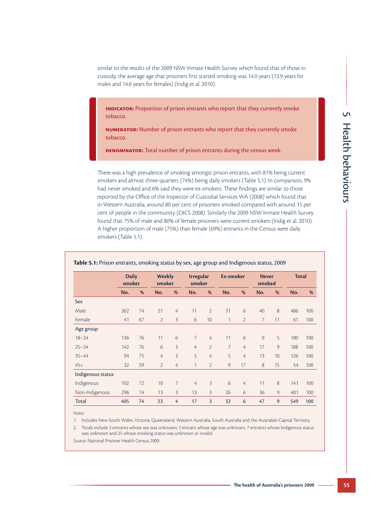similar to the results of the 2009 NSW Inmate Health Survey which found that of those in custody, the average age that prisoners first started smoking was 14.0 years (13.9 years for males and 14.6 years for females) (Indig et al. 2010).

**INDICATOR:** Proportion of prison entrants who report that they currently smoke tobacco.

**Numerator:** Number of prison entrants who report that they currently smoke tobacco.

**Denominator:** Total number of prison entrants during the census week.

There was a high prevalence of smoking amongst prison entrants, with 81% being current smokers and almost three-quarters (74%) being daily smokers (Table 5.1). In comparison, 9% had never smoked and 6% said they were ex-smokers. These findings are similar to those reported by the Office of the Inspector of Custodial Services WA (2008) which found that in Western Australia, around 80 per cent of prisoners smoked compared with around 15 per cent of people in the community (OICS 2008). Similarly the 2009 NSW Inmate Health Survey found that 75% of male and 80% of female prisoners were current smokers (Indig et al. 2010). A higher proportion of male (75%) than female (69%) entrants in the Census were daily smokers (Table 5.1).

|                   | <b>Daily</b><br>smoker |    | <b>Weekly</b><br>smoker |                | <b>Irregular</b><br>smoker |                | Ex-smoker      |                | <b>Never</b><br>smoked |                 | <b>Total</b> |     |
|-------------------|------------------------|----|-------------------------|----------------|----------------------------|----------------|----------------|----------------|------------------------|-----------------|--------------|-----|
|                   | No.                    | %  | No.                     | %              | No.                        | %              | No.            | %              | No.                    | %               | No.          | %   |
| Sex               |                        |    |                         |                |                            |                |                |                |                        |                 |              |     |
| Male              | 362                    | 74 | 21                      | 4              | 11                         | $\overline{2}$ | 31             | 6              | 40                     | 8               | 486          | 100 |
| Female            | 41                     | 67 | $\overline{2}$          | $\overline{3}$ | 6                          | 10             | 1              | $\overline{2}$ | $\overline{7}$         | 11              | 61           | 100 |
| Age group         |                        |    |                         |                |                            |                |                |                |                        |                 |              |     |
| $18 - 24$         | 136                    | 76 | 11                      | 6              | 7                          | 4              | 11             | 6              | 9                      | 5               | 180          | 100 |
| $25 - 34$         | 142                    | 76 | 6                       | 3              | $\overline{4}$             | $\overline{2}$ | $\overline{7}$ | $\overline{4}$ | 17                     | 9               | 188          | 100 |
| $35 - 44$         | 94                     | 75 | 4                       | $\overline{3}$ | 5                          | 4              | 5              | $\overline{4}$ | 13                     | 10 <sup>1</sup> | 126          | 100 |
| $45+$             | 32                     | 59 | $\overline{2}$          | 4              | 1                          | $\overline{2}$ | 9              | 17             | 8                      | 15              | 54           | 100 |
| Indigenous status |                        |    |                         |                |                            |                |                |                |                        |                 |              |     |
| Indigenous        | 102                    | 72 | 10                      | 7              | 4                          | 3              | 6              | $\overline{4}$ | 11                     | 8               | 141          | 100 |
| Non-Indigenous    | 296                    | 74 | 13                      | $\overline{3}$ | 13                         | 3              | 26             | 6              | 36                     | 9               | 401          | 100 |
| Total             | 405                    | 74 | 23                      | $\overline{4}$ | 17                         | $\overline{3}$ | 32             | 6              | 47                     | 9               | 549          | 100 |

#### **Table 5.1:** Prison entrants, smoking status by sex, age group and Indigenous status, 2009

*Notes*

1. Includes New South Wales, Victoria, Queensland, Western Australia, South Australia and the Australian Capital Territory.

2. Totals include 2 entrants whose sex was unknown, 1 entrant whose age was unknown, 7 entrants whose Indigenous status was unknown and 25 whose smoking status was unknown or invalid.

*Source:* National Prisoner Health Census 2009.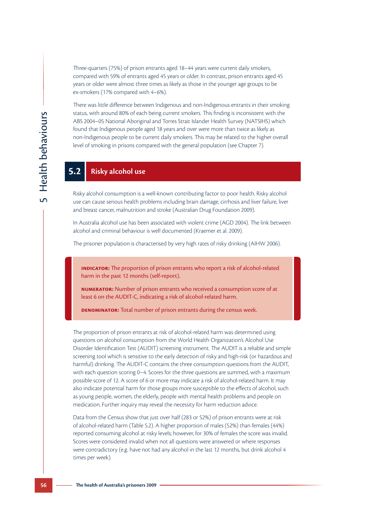Three-quarters (75%) of prison entrants aged 18–44 years were current daily smokers, compared with 59% of entrants aged 45 years or older. In contrast, prison entrants aged 45 years or older were almost three times as likely as those in the younger age groups to be ex-smokers (17% compared with 4–6%).

There was little difference between Indigenous and non-Indigenous entrants in their smoking status, with around 80% of each being current smokers. This finding is inconsistent with the ABS 2004–05 National Aboriginal and Torres Strait Islander Health Survey (NATSIHS) which found that Indigenous people aged 18 years and over were more than twice as likely as non-Indigenous people to be current daily smokers. This may be related to the higher overall level of smoking in prisons compared with the general population (see Chapter 7).

## **5.2 Risky alcohol use**

Risky alcohol consumption is a well-known contributing factor to poor health. Risky alcohol use can cause serious health problems including brain damage, cirrhosis and liver failure, liver and breast cancer, malnutrition and stroke (Australian Drug Foundation 2009).

In Australia alcohol use has been associated with violent crime (AGD 2004). The link between alcohol and criminal behaviour is well documented (Kraemer et al. 2009).

The prisoner population is characterised by very high rates of risky drinking (AIHW 2006).

**Indicator:** The proportion of prison entrants who report a risk of alcohol-related harm in the past 12 months (self-report).

**Numerator:** Number of prison entrants who received a consumption score of at least 6 on the AUDIT-C, indicating a risk of alcohol-related harm.

**DENOMINATOR:** Total number of prison entrants during the census week.

The proportion of prison entrants at risk of alcohol-related harm was determined using questions on alcohol consumption from the World Health Organization's Alcohol Use Disorder Identification Test (AUDIT) screening instrument. The AUDIT is a reliable and simple screening tool which is sensitive to the early detection of risky and high-risk (or hazardous and harmful) drinking. The AUDIT-C contains the three consumption questions from the AUDIT, with each question scoring 0–4. Scores for the three questions are summed, with a maximum possible score of 12. A score of 6 or more may indicate a risk of alcohol-related harm. It may also indicate potential harm for those groups more susceptible to the effects of alcohol, such as young people, women, the elderly, people with mental health problems and people on medication. Further inquiry may reveal the necessity for harm reduction advice.

Data from the Census show that just over half (283 or 52%) of prison entrants were at risk of alcohol-related harm (Table 5.2). A higher proportion of males (52%) than females (44%) reported consuming alcohol at risky levels; however, for 30% of females the score was invalid. Scores were considered invalid when not all questions were answered or where responses were contradictory (e.g. have not had any alcohol in the last 12 months, but drink alcohol 4 times per week).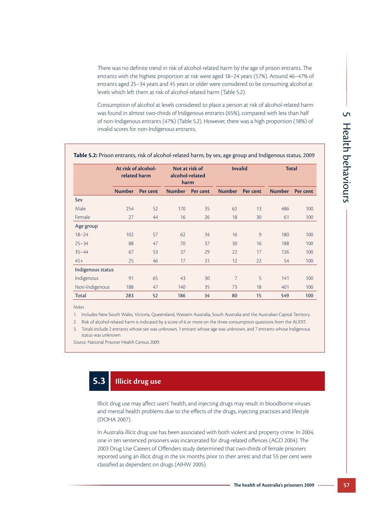There was no definite trend in risk of alcohol-related harm by the age of prison entrants. The entrants with the highest proportion at risk were aged 18–24 years (57%). Around 46–47% of entrants aged 25–34 years and 45 years or older were considered to be consuming alcohol at levels which left them at risk of alcohol-related harm (Table 5.2).

Consumption of alcohol at levels considered to place a person at risk of alcohol-related harm was found in almost two-thirds of Indigenous entrants (65%), compared with less than half of non-Indigenous entrants (47%) (Table 5.2). However, there was a high proportion (18%) of invalid scores for non-Indigenous entrants.

|                   | At risk of alcohol-<br>related harm |          | Not at risk of<br>alcohol-related<br>harm |          | <b>Invalid</b> |          | <b>Total</b>  |          |
|-------------------|-------------------------------------|----------|-------------------------------------------|----------|----------------|----------|---------------|----------|
|                   | <b>Number</b>                       | Per cent | <b>Number</b>                             | Per cent | <b>Number</b>  | Per cent | <b>Number</b> | Per cent |
| Sex               |                                     |          |                                           |          |                |          |               |          |
| Male              | 254                                 | 52       | 170                                       | 35       | 62             | 13       | 486           | 100      |
| Female            | 27                                  | 44       | 16                                        | 26       | 18             | 30       | 61            | 100      |
| Age group         |                                     |          |                                           |          |                |          |               |          |
| $18 - 24$         | 102                                 | 57       | 62                                        | 34       | 16             | 9        | 180           | 100      |
| $25 - 34$         | 88                                  | 47       | 70                                        | 37       | 30             | 16       | 188           | 100      |
| $35 - 44$         | 67                                  | 53       | 37                                        | 29       | 22             | 17       | 126           | 100      |
| $45+$             | 25                                  | 46       | 17                                        | 31       | 12             | 22       | 54            | 100      |
| Indigenous status |                                     |          |                                           |          |                |          |               |          |
| Indigenous        | 91                                  | 65       | 43                                        | 30       | 7              | 5        | 141           | 100      |
| Non-Indigenous    | 188                                 | 47       | 140                                       | 35       | 73             | 18       | 401           | 100      |
| Total             | 283                                 | 52       | 186                                       | 34       | 80             | 15       | 549           | 100      |

### **Table 5.2:** Prison entrants, risk of alcohol-related harm, by sex, age group and Indigenous status, 2009

*Notes*

1. Includes New South Wales, Victoria, Queensland, Western Australia, South Australia and the Australian Capital Territory.

2. Risk of alcohol-related harm is indicated by a score of 6 or more on the three consumption questions from the AUDIT.

3. Totals include 2 entrants whose sex was unknown, 1 entrant whose age was unknown, and 7 entrants whose Indigenous status was unknown

*Source:* National Prisoner Health Census 2009.

# **5.3 Illicit drug use**

Illicit drug use may affect users' health, and injecting drugs may result in bloodborne viruses and mental health problems due to the effects of the drugs, injecting practices and lifestyle (DOHA 2007).

In Australia illicit drug use has been associated with both violent and property crime. In 2004, one in ten sentenced prisoners was incarcerated for drug-related offences (AGD 2004). The 2003 Drug Use Careers of Offenders study determined that two-thirds of female prisoners reported using an illicit drug in the six months prior to their arrest and that 55 per cent were classified as dependent on drugs (AIHW 2005).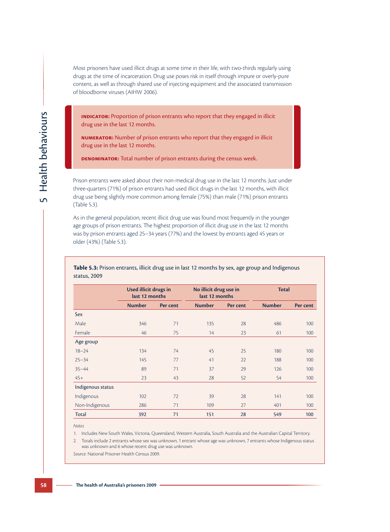Most prisoners have used illicit drugs at some time in their life, with two-thirds regularly using drugs at the time of incarceration. Drug use poses risk in itself through impure or overly-pure content, as well as through shared use of injecting equipment and the associated transmission of bloodborne viruses (AIHW 2006).

**INDICATOR:** Proportion of prison entrants who report that they engaged in illicit drug use in the last 12 months.

**Numerator:** Number of prison entrants who report that they engaged in illicit drug use in the last 12 months.

**Denominator:** Total number of prison entrants during the census week.

Prison entrants were asked about their non-medical drug use in the last 12 months. Just under three-quarters (71%) of prison entrants had used illicit drugs in the last 12 months, with illicit drug use being slightly more common among female (75%) than male (71%) prison entrants (Table 5.3).

As in the general population, recent illicit drug use was found most frequently in the younger age groups of prison entrants. The highest proportion of illicit drug use in the last 12 months was by prison entrants aged 25–34 years (77%) and the lowest by entrants aged 45 years or older (43%) (Table 5.3).

|                   | Used illicit drugs in<br>last 12 months |          | No illicit drug use in<br>last 12 months |          | <b>Total</b>  |          |  |
|-------------------|-----------------------------------------|----------|------------------------------------------|----------|---------------|----------|--|
|                   | <b>Number</b>                           | Per cent | <b>Number</b>                            | Per cent | <b>Number</b> | Per cent |  |
| Sex               |                                         |          |                                          |          |               |          |  |
| Male              | 346                                     | 71       | 135                                      | 28       | 486           | 100      |  |
| Female            | 46                                      | 75       | 14                                       | 23       | 61            | 100      |  |
| Age group         |                                         |          |                                          |          |               |          |  |
| $18 - 24$         | 134                                     | 74       | 45                                       | 25       | 180           | 100      |  |
| $25 - 34$         | 145                                     | 77       | 41                                       | 22       | 188           | 100      |  |
| $35 - 44$         | 89                                      | 71       | 37                                       | 29       | 126           | 100      |  |
| $45+$             | 23                                      | 43       | 28                                       | 52       | 54            | 100      |  |
| Indigenous status |                                         |          |                                          |          |               |          |  |
| Indigenous        | 102                                     | 72       | 39                                       | 28       | 141           | 100      |  |
| Non-Indigenous    | 286                                     | 71       | 109                                      | 27       | 401           | 100      |  |
| <b>Total</b>      | 392                                     | 71       | 151                                      | 28       | 549           | 100      |  |

**Table 5.3:** Prison entrants, illicit drug use in last 12 months by sex, age group and Indigenous status, 2009

*Notes*

1. Includes New South Wales, Victoria, Queensland, Western Australia, South Australia and the Australian Capital Territory.

2. Totals include 2 entrants whose sex was unknown, 1 entrant whose age was unknown, 7 entrants whose Indigenous status was unknown and 6 whose recent drug use was unknown.

*Source:* National Prisoner Health Census 2009.

5 Health behaviours Health behaviours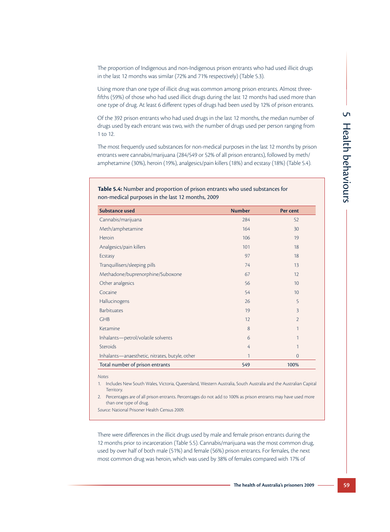The proportion of Indigenous and non-Indigenous prison entrants who had used illicit drugs in the last 12 months was similar (72% and 71% respectively) (Table 5.3).

Using more than one type of illicit drug was common among prison entrants. Almost threefifths (59%) of those who had used illicit drugs during the last 12 months had used more than one type of drug. At least 6 different types of drugs had been used by 12% of prison entrants.

Of the 392 prison entrants who had used drugs in the last 12 months, the median number of drugs used by each entrant was two, with the number of drugs used per person ranging from 1 to 12.

The most frequently used substances for non-medical purposes in the last 12 months by prison entrants were cannabis/marijuana (284/549 or 52% of all prison entrants), followed by meth/ amphetamine (30%), heroin (19%), analgesics/pain killers (18%) and ecstasy (18%) (Table 5.4).

## **Table 5.4:** Number and proportion of prison entrants who used substances for non-medical purposes in the last 12 months, 2009

| <b>Substance used</b>                          | <b>Number</b> | Per cent       |
|------------------------------------------------|---------------|----------------|
| Cannabis/marijuana                             | 284           | 52             |
| Meth/amphetamine                               | 164           | 30             |
| Heroin                                         | 106           | 19             |
| Analgesics/pain killers                        | 101           | 18             |
| Ecstasy                                        | 97            | 18             |
| Tranquillisers/sleeping pills                  | 74            | 13             |
| Methadone/buprenorphine/Suboxone               | 67            | 12             |
| Other analgesics                               | 56            | 10             |
| Cocaine                                        | 54            | 10             |
| Hallucinogens                                  | 26            | 5              |
| <b>Barbituates</b>                             | 19            | 3              |
| <b>GHB</b>                                     | 12            | $\overline{2}$ |
| Ketamine                                       | 8             | 1              |
| Inhalants-petrol/volatile solvents             | 6             | 1              |
| Steroids                                       | 4             | 1              |
| Inhalants-anaesthetic, nitrates, butyle, other | $\mathbf{1}$  | $\overline{0}$ |
| Total number of prison entrants                | 549           | 100%           |

*Notes*

1. Includes New South Wales, Victoria, Queensland, Western Australia, South Australia and the Australian Capital **Territory** 

2. Percentages are of all prison entrants. Percentages do not add to 100% as prison entrants may have used more than one type of drug.

*Source:* National Prisoner Health Census 2009.

There were differences in the illicit drugs used by male and female prison entrants during the 12 months prior to incarceration (Table 5.5). Cannabis/marijuana was the most common drug, used by over half of both male (51%) and female (56%) prison entrants. For females, the next most common drug was heroin, which was used by 38% of females compared with 17% of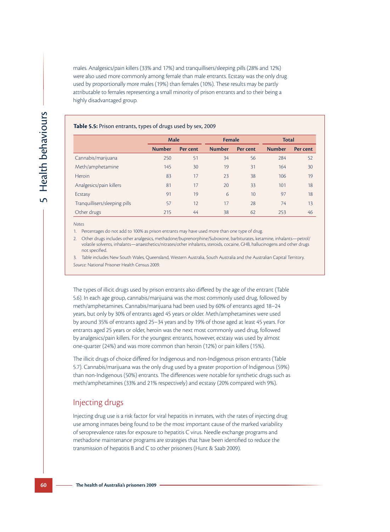males. Analgesics/pain killers (33% and 17%) and tranquillisers/sleeping pills (28% and 12%) were also used more commonly among female than male entrants. Ecstasy was the only drug used by proportionally more males (19%) than females (10%). These results may be partly attributable to females representing a small minority of prison entrants and to their being a highly disadvantaged group.

#### **Table 5.5:** Prison entrants, types of drugs used by sex, 2009

|                               | <b>Male</b>   |                 | Female        |          | <b>Total</b>  |          |
|-------------------------------|---------------|-----------------|---------------|----------|---------------|----------|
|                               | <b>Number</b> | <b>Per cent</b> | <b>Number</b> | Per cent | <b>Number</b> | Per cent |
| Cannabis/marijuana            | 250           | 51              | 34            | 56       | 284           | 52       |
| Meth/amphetamine              | 145           | 30              | 19            | 31       | 164           | 30       |
| Heroin                        | 83            | 17              | 23            | 38       | 106           | 19       |
| Analgesics/pain killers       | 81            | 17              | 20            | 33       | 101           | 18       |
| Ecstasy                       | 91            | 19              | 6             | 10       | 97            | 18       |
| Tranquillisers/sleeping pills | 57            | 12              | 17            | 28       | 74            | 13       |
| Other drugs                   | 215           | 44              | 38            | 62       | 253           | 46       |

*Notes*

1. Percentages do not add to 100% as prison entrants may have used more than one type of drug.

2. Other drugs includes other analgesics, methadone/buprenorphine/Suboxone, barbiturates, ketamine, inhalants—petrol/ volatile solvents, inhalants—anaesthetics/nitrates/other inhalants, steroids, cocaine, GHB, hallucinogens and other drugs not specified.

3. Table includes New South Wales, Queensland, Western Australia, South Australia and the Australian Capital Territory. *Source:* National Prisoner Health Census 2009.

The types of illicit drugs used by prison entrants also differed by the age of the entrant (Table 5.6). In each age group, cannabis/marijuana was the most commonly used drug, followed by meth/amphetamines. Cannabis/marijuana had been used by 60% of entrants aged 18–24 years, but only by 30% of entrants aged 45 years or older. Meth/amphetamines were used by around 35% of entrants aged 25–34 years and by 19% of those aged at least 45 years. For entrants aged 25 years or older, heroin was the next most commonly used drug, followed by analgesics/pain killers. For the youngest entrants, however, ecstasy was used by almost one-quarter (24%) and was more common than heroin (12%) or pain killers (15%).

The illicit drugs of choice differed for Indigenous and non-Indigenous prison entrants (Table 5.7). Cannabis/marijuana was the only drug used by a greater proportion of Indigenous (59%) than non-Indigenous (50%) entrants. The differences were notable for synthetic drugs such as meth/amphetamines (33% and 21% respectively) and ecstasy (20% compared with 9%).

## Injecting drugs

Injecting drug use is a risk factor for viral hepatitis in inmates, with the rates of injecting drug use among inmates being found to be the most important cause of the marked variability of seroprevalence rates for exposure to hepatitis C virus. Needle exchange programs and methadone maintenance programs are strategies that have been identified to reduce the transmission of hepatitis B and C to other prisoners (Hunt & Saab 2009).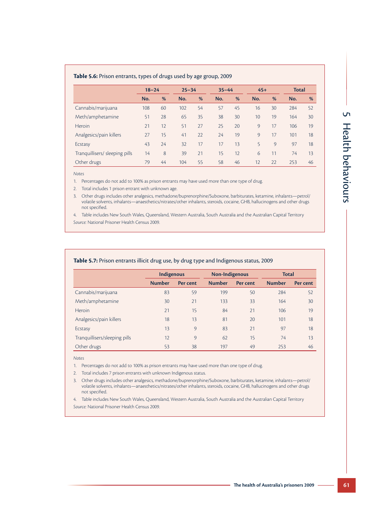### **Table 5.6:** Prison entrants, types of drugs used by age group, 2009

|                                | $18 - 24$ |    | $25 - 34$ |    | $35 - 44$ |    | $45+$ |    | Total |    |
|--------------------------------|-----------|----|-----------|----|-----------|----|-------|----|-------|----|
|                                | No.       | %  | No.       | %  | No.       | %  | No.   | %  | No.   | %  |
| Cannabis/marijuana             | 108       | 60 | 102       | 54 | 57        | 45 | 16    | 30 | 284   | 52 |
| Meth/amphetamine               | 51        | 28 | 65        | 35 | 38        | 30 | 10    | 19 | 164   | 30 |
| <b>Heroin</b>                  | 21        | 12 | 51        | 27 | 25        | 20 | 9     | 17 | 106   | 19 |
| Analgesics/pain killers        | 27        | 15 | 41        | 22 | 24        | 19 | 9     | 17 | 101   | 18 |
| Ecstasy                        | 43        | 24 | 32        | 17 | 17        | 13 | 5     | 9  | 97    | 18 |
| Tranquillisers/ sleeping pills | 14        | 8  | 39        | 21 | 15        | 12 | 6     | 11 | 74    | 13 |
| Other drugs                    | 79        | 44 | 104       | 55 | 58        | 46 | 12    | 22 | 253   | 46 |

*Notes*

1. Percentages do not add to 100% as prison entrants may have used more than one type of drug.

2. Total includes 1 prison entrant with unknown age.

3. Other drugs includes other analgesics, methadone/buprenorphine/Suboxone, barbiturates, ketamine, inhalants—petrol/ volatile solvents, inhalants—anaesthetics/nitrates/other inhalants, steroids, cocaine, GHB, hallucinogens and other drugs not specified.

4. Table includes New South Wales, Queensland, Western Australia, South Australia and the Australian Capital Territory

*Source:* National Prisoner Health Census 2009.

### **Table 5.7:** Prison entrants illicit drug use, by drug type and Indigenous status, 2009

|                               | Indigenous    |          | Non-Indigenous |          |               | <b>Total</b> |  |
|-------------------------------|---------------|----------|----------------|----------|---------------|--------------|--|
|                               | <b>Number</b> | Per cent | <b>Number</b>  | Per cent | <b>Number</b> | Per cent     |  |
| Cannabis/marijuana            | 83            | 59       | 199            | 50       | 284           | 52           |  |
| Meth/amphetamine              | 30            | 21       | 133            | 33       | 164           | 30           |  |
| Heroin                        | 21            | 15       | 84             | 21       | 106           | 19           |  |
| Analgesics/pain killers       | 18            | 13       | 81             | 20       | 101           | 18           |  |
| Ecstasy                       | 13            | 9        | 83             | 21       | 97            | 18           |  |
| Tranquillisers/sleeping pills | 12            | 9        | 62             | 15       | 74            | 13           |  |
| Other drugs                   | 53            | 38       | 197            | 49       | 253           | 46           |  |

*Notes*

1. Percentages do not add to 100% as prison entrants may have used more than one type of drug.

2. Total includes 7 prison entrants with unknown Indigenous status.

3. Other drugs includes other analgesics, methadone/buprenorphine/Suboxone, barbiturates, ketamine, inhalants—petrol/ volatile solvents, inhalants—anaesthetics/nitrates/other inhalants, steroids, cocaine, GHB, hallucinogens and other drugs not specified.

4. Table includes New South Wales, Queensland, Western Australia, South Australia and the Australian Capital Territory *Source:* National Prisoner Health Census 2009.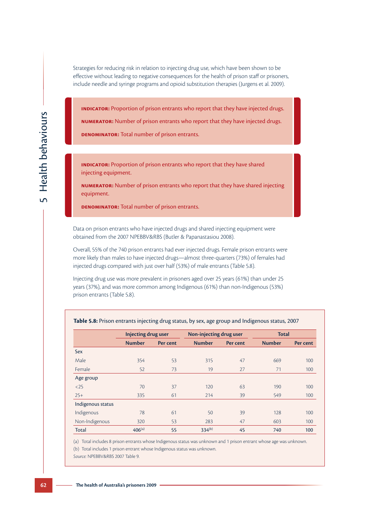Strategies for reducing risk in relation to injecting drug use, which have been shown to be effective without leading to negative consequences for the health of prison staff or prisoners, include needle and syringe programs and opioid substitution therapies (Jurgens et al. 2009).

**INDICATOR:** Proportion of prison entrants who report that they have injected drugs.

**Numerator:** Number of prison entrants who report that they have injected drugs.

**Denominator:** Total number of prison entrants.

**INDICATOR:** Proportion of prison entrants who report that they have shared injecting equipment.

**Numerator:** Number of prison entrants who report that they have shared injecting equipment.

**Denominator:** Total number of prison entrants.

Data on prison entrants who have injected drugs and shared injecting equipment were obtained from the 2007 NPEBBV&RBS (Butler & Papanastasiou 2008).

Overall, 55% of the 740 prison entrants had ever injected drugs. Female prison entrants were more likely than males to have injected drugs—almost three-quarters (73%) of females had injected drugs compared with just over half (53%) of male entrants (Table 5.8).

Injecting drug use was more prevalent in prisoners aged over 25 years (61%) than under 25 years (37%), and was more common among Indigenous (61%) than non-Indigenous (53%) prison entrants (Table 5.8).

|                   | <b>Injecting drug user</b> |          | Non-injecting drug user |          | <b>Total</b>  |          |
|-------------------|----------------------------|----------|-------------------------|----------|---------------|----------|
|                   | <b>Number</b>              | Per cent | <b>Number</b>           | Per cent | <b>Number</b> | Per cent |
| Sex               |                            |          |                         |          |               |          |
| Male              | 354                        | 53       | 315                     | 47       | 669           | 100      |
| Female            | 52                         | 73       | 19                      | 27       | 71            | 100      |
| Age group         |                            |          |                         |          |               |          |
| $25$              | 70                         | 37       | 120                     | 63       | 190           | 100      |
| $25+$             | 335                        | 61       | 214                     | 39       | 549           | 100      |
| Indigenous status |                            |          |                         |          |               |          |
| Indigenous        | 78                         | 61       | 50                      | 39       | 128           | 100      |
| Non-Indigenous    | 320                        | 53       | 283                     | 47       | 603           | 100      |
| Total             | $406^{(a)}$                | 55       | $334^{(b)}$             | 45       | 740           | 100      |

**Table 5.8:** Prison entrants injecting drug status, by sex, age group and Indigenous status, 2007

(a) Total includes 8 prison entrants whose Indigenous status was unknown and 1 prison entrant whose age was unknown. (b) Total includes 1 prison entrant whose Indigenous status was unknown.

*Source:* NPEBBV&RBS 2007 Table 9.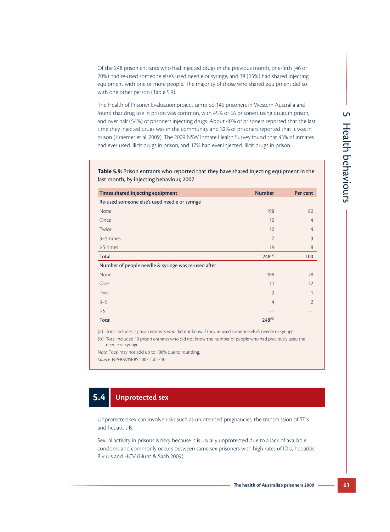Of the 248 prison entrants who had injected drugs in the previous month, one-fifth (46 or 20%) had re-used someone else's used needle or syringe, and 38 (15%) had shared injecting equipment with one or more people. The majority of those who shared equipment did so with one other person (Table 5.9).

The Health of Prisoner Evaluation project sampled 146 prisoners in Western Australia and found that drug use in prison was common, with 45% or 66 prisoners using drugs in prison, and over half (54%) of prisoners injecting drugs. About 40% of prisoners reported that the last time they injected drugs was in the community and 32% of prisoners reported that it was in prison (Kraemer et al. 2009). The 2009 NSW Inmate Health Survey found that 43% of inmates had ever used illicit drugs in prison, and 17% had ever injected illicit drugs in prison.

**Table 5.9:** Prison entrants who reported that they have shared injecting equipment in the last month, by injecting behaviour, 2007

| Times shared injecting equipment                    | <b>Number</b>  | Per cent       |
|-----------------------------------------------------|----------------|----------------|
| Re-used someone else's used needle or syringe       |                |                |
| None                                                | 198            | 80             |
| Once                                                | 10             | 4              |
| Twice                                               | 10             | 4              |
| $3-5$ times                                         | 7              | 3              |
| >5 times                                            | 19             | 8              |
| <b>Total</b>                                        | $248^{(a)}$    | 100            |
| Number of people needle & syringe was re-used after |                |                |
| None                                                | 198            | 78             |
| One                                                 | 31             | 12             |
| Two                                                 | $\overline{3}$ | 1              |
| $3 - 5$                                             | 4              | $\overline{2}$ |
| >5                                                  |                |                |
| <b>Total</b>                                        | $248^{(b)}$    |                |

(a) Total includes 4 prison entrants who did not know if they re-used someone else's needle or syringe.

(b) Total included 19 prison entrants who did not know the number of people who had previously used the needle or syringe.

*Note:* Total may not add up to 100% due to rounding. *Source:* NPEBBV&RBS 2007 Table 10.

# **5.4 Unprotected sex**

Unprotected sex can involve risks such as unintended pregnancies, the transmission of STIs and hepatitis B.

Sexual activity in prisons is risky because it is usually unprotected due to a lack of available condoms and commonly occurs between same sex prisoners with high rates of IDU, hepatitis B virus and HCV (Hunt & Saab 2009).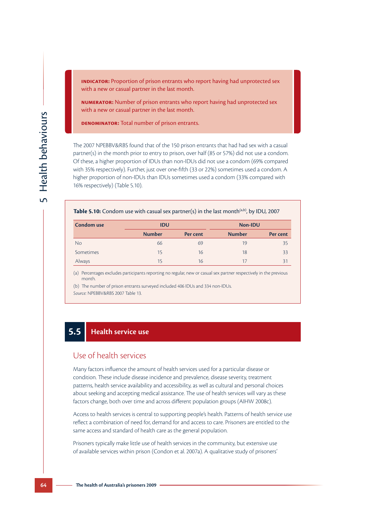**INDICATOR:** Proportion of prison entrants who report having had unprotected sex with a new or casual partner in the last month.

**Numerator:** Number of prison entrants who report having had unprotected sex with a new or casual partner in the last month.

**Denominator:** Total number of prison entrants.

The 2007 NPEBBV&RBS found that of the 150 prison entrants that had had sex with a casual partner(s) in the month prior to entry to prison, over half (85 or 57%) did not use a condom. Of these, a higher proportion of IDUs than non-IDUs did not use a condom (69% compared with 35% respectively). Further, just over one-fifth (33 or 22%) sometimes used a condom. A higher proportion of non-IDUs than IDUs sometimes used a condom (33% compared with 16% respectively) (Table 5.10).

#### **Table 5.10:** Condom use with casual sex partner(s) in the last month<sup>(a,b)</sup>, by IDU, 2007

| Condom use | <b>IDU</b>    |          | Non-IDU       |          |  |  |
|------------|---------------|----------|---------------|----------|--|--|
|            | <b>Number</b> | Per cent | <b>Number</b> | Per cent |  |  |
| <b>No</b>  | 66            | 69       | 19            | 35       |  |  |
| Sometimes  | 15            | 16       | 18            | 33       |  |  |
| Always     | 15            | 16       | 17            | 31       |  |  |

(a) Percentages excludes participants reporting no regular, new or casual sex partner respectively in the previous month.

(b) The number of prison entrants surveyed included 406 IDUs and 334 non-IDUs. *Source:* NPEBBV&RBS 2007 Table 13.

## **5.5 Health service use**

## Use of health services

Many factors influence the amount of health services used for a particular disease or condition. These include disease incidence and prevalence, disease severity, treatment patterns, health service availability and accessibility, as well as cultural and personal choices about seeking and accepting medical assistance. The use of health services will vary as these factors change, both over time and across different population groups (AIHW 2008c).

Access to health services is central to supporting people's health. Patterns of health service use reflect a combination of need for, demand for and access to care. Prisoners are entitled to the same access and standard of health care as the general population.

Prisoners typically make little use of health services in the community, but extensive use of available services within prison (Condon et al. 2007a). A qualitative study of prisoners'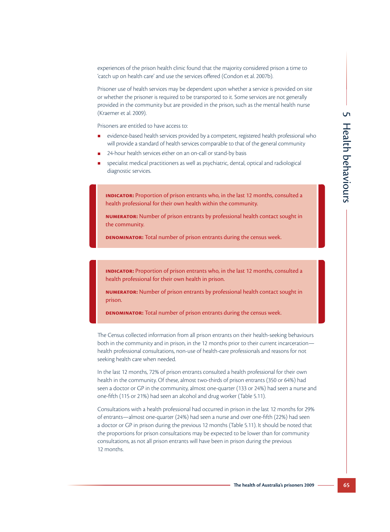experiences of the prison health clinic found that the majority considered prison a time to 'catch up on health care' and use the services offered (Condon et al. 2007b).

Prisoner use of health services may be dependent upon whether a service is provided on site or whether the prisoner is required to be transported to it. Some services are not generally provided in the community but are provided in the prison, such as the mental health nurse (Kraemer et al. 2009).

Prisoners are entitled to have access to:

- evidence-based health services provided by a competent, registered health professional who will provide a standard of health services comparable to that of the general community
- 24-hour health services either on an on-call or stand-by basis
- specialist medical practitioners as well as psychiatric, dental, optical and radiological diagnostic services.

**INDICATOR:** Proportion of prison entrants who, in the last 12 months, consulted a health professional for their own health within the community.

**Numerator:** Number of prison entrants by professional health contact sought in the community.

**DENOMINATOR:** Total number of prison entrants during the census week.

**Indicator:** Proportion of prison entrants who, in the last 12 months, consulted a health professional for their own health in prison.

**Numerator:** Number of prison entrants by professional health contact sought in prison.

**Denominator:** Total number of prison entrants during the census week.

The Census collected information from all prison entrants on their health-seeking behaviours both in the community and in prison, in the 12 months prior to their current incarceration health professional consultations, non-use of health-care professionals and reasons for not seeking health care when needed.

In the last 12 months, 72% of prison entrants consulted a health professional for their own health in the community. Of these, almost two-thirds of prison entrants (350 or 64%) had seen a doctor or GP in the community, almost one-quarter (133 or 24%) had seen a nurse and one-fifth (115 or 21%) had seen an alcohol and drug worker (Table 5.11).

Consultations with a health professional had occurred in prison in the last 12 months for 29% of entrants—almost one-quarter (24%) had seen a nurse and over one-fifth (22%) had seen a doctor or GP in prison during the previous 12 months (Table 5.11). It should be noted that the proportions for prison consultations may be expected to be lower than for community consultations, as not all prison entrants will have been in prison during the previous 12 months.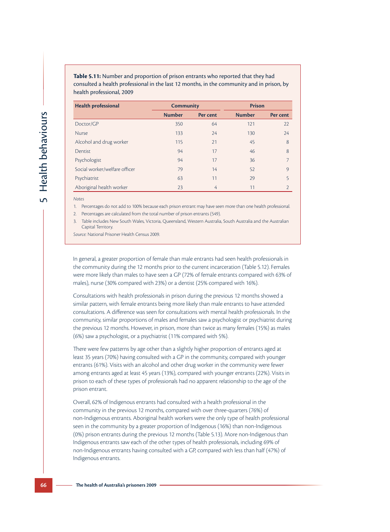| Table 5.11: Number and proportion of prison entrants who reported that they had           |
|-------------------------------------------------------------------------------------------|
| consulted a health professional in the last 12 months, in the community and in prison, by |
| health professional, 2009                                                                 |

| <b>Health professional</b>    | <b>Community</b> |          | <b>Prison</b> |                |
|-------------------------------|------------------|----------|---------------|----------------|
|                               | <b>Number</b>    | Per cent | <b>Number</b> | Per cent       |
| Doctor/GP                     | 350              | 64       | 121           | 22             |
| <b>Nurse</b>                  | 133              | 24       | 130           | 24             |
| Alcohol and drug worker       | 115              | 21       | 45            | 8              |
| Dentist                       | 94               | 17       | 46            | 8              |
| Psychologist                  | 94               | 17       | 36            | 7              |
| Social worker/welfare officer | 79               | 14       | 52            | $\circ$        |
| Psychiatrist                  | 63               | 11       | 29            | 5              |
| Aboriginal health worker      | 23               | 4        | 11            | $\overline{2}$ |

*Notes*

1. Percentages do not add to 100% because each prison entrant may have seen more than one health professional.

2. Percentages are calculated from the total number of prison entrants (549).

Table includes New South Wales, Victoria, Queensland, Western Australia, South Australia and the Australian Capital Territory.

*Source:* National Prisoner Health Census 2009.

In general, a greater proportion of female than male entrants had seen health professionals in the community during the 12 months prior to the current incarceration (Table 5.12). Females were more likely than males to have seen a GP (72% of female entrants compared with 63% of males), nurse (30% compared with 23%) or a dentist (25% compared with 16%).

Consultations with health professionals in prison during the previous 12 months showed a similar pattern, with female entrants being more likely than male entrants to have attended consultations. A difference was seen for consultations with mental health professionals. In the community, similar proportions of males and females saw a psychologist or psychiatrist during the previous 12 months. However, in prison, more than twice as many females (15%) as males (6%) saw a psychologist, or a psychiatrist (11% compared with 5%).

There were few patterns by age other than a slightly higher proportion of entrants aged at least 35 years (70%) having consulted with a GP in the community, compared with younger entrants (61%). Visits with an alcohol and other drug worker in the community were fewer among entrants aged at least 45 years (13%), compared with younger entrants (22%). Visits in prison to each of these types of professionals had no apparent relationship to the age of the prison entrant.

Overall, 62% of Indigenous entrants had consulted with a health professional in the community in the previous 12 months, compared with over three-quarters (76%) of non-Indigenous entrants. Aboriginal health workers were the only type of health professional seen in the community by a greater proportion of Indigenous (16%) than non-Indigenous (0%) prison entrants during the previous 12 months (Table 5.13). More non-Indigenous than Indigenous entrants saw each of the other types of health professionals, including 69% of non-Indigenous entrants having consulted with a GP, compared with less than half (47%) of Indigenous entrants.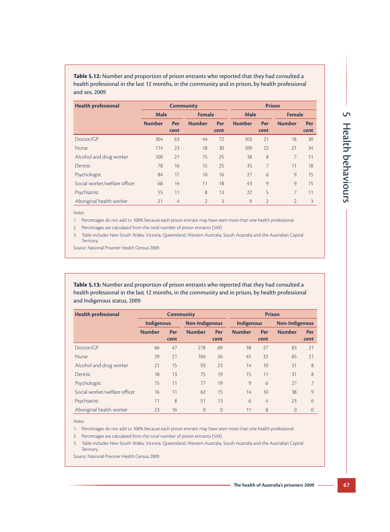| Table 5.12: Number and proportion of prison entrants who reported that they had consulted a       |
|---------------------------------------------------------------------------------------------------|
| health professional in the last 12 months, in the community and in prison, by health professional |
| and sex. 2009 .                                                                                   |

| <b>Health professional</b>    | <b>Community</b> |                              |               |             | <b>Prison</b> |                |                |      |
|-------------------------------|------------------|------------------------------|---------------|-------------|---------------|----------------|----------------|------|
|                               |                  | <b>Female</b><br><b>Male</b> |               | <b>Male</b> |               | <b>Female</b>  |                |      |
|                               | <b>Number</b>    | Per                          | <b>Number</b> | Per         | <b>Number</b> | Per            | <b>Number</b>  | Per  |
|                               |                  | cent                         |               | cent        |               | cent           |                | cent |
| Doctor/GP                     | 304              | 63                           | 44            | 72          | 103           | 21             | 18             | 30   |
| <b>Nurse</b>                  | 114              | 23                           | 18            | 30          | 109           | 22             | 21             | 34   |
| Alcohol and drug worker       | 100              | 21                           | 15            | 25          | 38            | 8              | 7              | 11   |
| Dentist                       | 78               | 16                           | 15            | 25          | 35            | 7              | 11             | 18   |
| Psychologist                  | 84               | 17                           | 10            | 16          | 27            | 6              | 9              | 15   |
| Social worker/welfare officer | 68               | 14                           | 11            | 18          | 43            | 9              | $\circ$        | 15   |
| Psychiatrist                  | 55               | 11                           | 8             | 13          | 22            | 5              | 7              | 11   |
| Aboriginal health worker      | 21               | $\overline{4}$               | 2             | 3           | 9             | $\overline{2}$ | $\overline{2}$ | 3    |

*Notes*

1. Percentages do not add to 100% because each prison entrant may have seen more than one health professional.

2. Percentages are calculated from the total number of prison entrants (549).

3. Table includes New South Wales, Victoria, Queensland, Western Australia, South Australia and the Australian Capital Territory.

*Source:* National Prisoner Health Census 2009.

**Table 5.13:** Number and proportion of prison entrants who reported that they had consulted a health professional in the last 12 months, in the community and in prison, by health professional and Indigenous status, 2009

| <b>Health professional</b>    | <b>Community</b>                    |      |                |                | <b>Prison</b> |                 |               |          |
|-------------------------------|-------------------------------------|------|----------------|----------------|---------------|-----------------|---------------|----------|
|                               | Non-Indigenous<br><b>Indigenous</b> |      |                | Indigenous     |               | Non-Indigenous  |               |          |
|                               | <b>Number</b>                       | Per  | <b>Number</b>  | Per            | <b>Number</b> | Per             | <b>Number</b> | Per      |
|                               |                                     | cent |                | cent           |               | cent            |               | cent     |
| Doctor/GP                     | 66                                  | 47   | 278            | 69             | 38            | 27              | 83            | 21       |
| <b>Nurse</b>                  | 29                                  | 21   | 104            | 26             | 45            | 32              | 85            | 21       |
| Alcohol and drug worker       | 21                                  | 15   | 93             | 23             | 14            | 10              | 31            | 8        |
| Dentist                       | 18                                  | 13   | 75             | 19             | 15            | 11              | 31            | 8        |
| Psychologist                  | 15                                  | 11   | 77             | 19             | 9             | 6               | 27            |          |
| Social worker/welfare officer | 16                                  | 11   | 62             | 15             | 14            | 10 <sup>1</sup> | 38            | $\circ$  |
| Psychiatrist                  | 11                                  | 8    | 51             | 13             | 6             | 4               | 23            | 6        |
| Aboriginal health worker      | 23                                  | 16   | $\overline{0}$ | $\overline{0}$ | 11            | 8               | 0             | $\Omega$ |

*Notes*

1. Percentages do not add to 100% because each prison entrant may have seen more than one health professional.

2. Percentages are calculated from the total number of prison entrants (549).

3. Table includes New South Wales, Victoria, Queensland, Western Australia, South Australia and the Australian Capital Territory.

*Source:* National Prisoner Health Census 2009.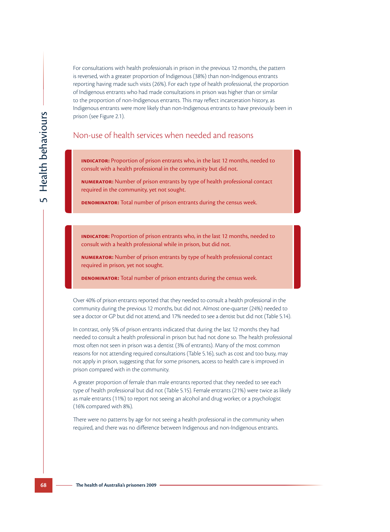For consultations with health professionals in prison in the previous 12 months, the pattern is reversed, with a greater proportion of Indigenous (38%) than non-Indigenous entrants reporting having made such visits (26%). For each type of health professional, the proportion of Indigenous entrants who had made consultations in prison was higher than or similar to the proportion of non-Indigenous entrants. This may reflect incarceration history, as Indigenous entrants were more likely than non-Indigenous entrants to have previously been in prison (see Figure 2.1).

## Non-use of health services when needed and reasons

**Indicator:** Proportion of prison entrants who, in the last 12 months, needed to consult with a health professional in the community but did not.

**Numerator:** Number of prison entrants by type of health professional contact required in the community, yet not sought.

**DENOMINATOR:** Total number of prison entrants during the census week.

**INDICATOR:** Proportion of prison entrants who, in the last 12 months, needed to consult with a health professional while in prison, but did not.

**Numerator:** Number of prison entrants by type of health professional contact required in prison, yet not sought.

**DENOMINATOR:** Total number of prison entrants during the census week.

Over 40% of prison entrants reported that they needed to consult a health professional in the community during the previous 12 months, but did not. Almost one-quarter (24%) needed to see a doctor or GP but did not attend, and 17% needed to see a dentist but did not (Table 5.14).

In contrast, only 5% of prison entrants indicated that during the last 12 months they had needed to consult a health professional in prison but had not done so. The health professional most often not seen in prison was a dentist (3% of entrants). Many of the most common reasons for not attending required consultations (Table 5.16), such as cost and too busy, may not apply in prison, suggesting that for some prisoners, access to health care is improved in prison compared with in the community.

A greater proportion of female than male entrants reported that they needed to see each type of health professional but did not (Table 5.15). Female entrants (21%) were twice as likely as male entrants (11%) to report not seeing an alcohol and drug worker, or a psychologist (16% compared with 8%).

There were no patterns by age for not seeing a health professional in the community when required, and there was no difference between Indigenous and non-Indigenous entrants.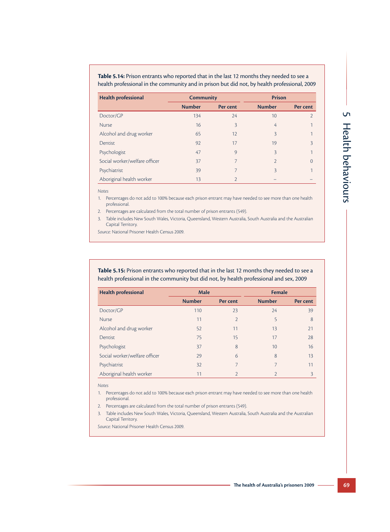| Table 5.14: Prison entrants who reported that in the last 12 months they needed to see a     |
|----------------------------------------------------------------------------------------------|
| health professional in the community and in prison but did not, by health professional, 2009 |

| <b>Health professional</b>    | <b>Community</b> |               |                | <b>Prison</b> |
|-------------------------------|------------------|---------------|----------------|---------------|
|                               | <b>Number</b>    | Per cent      | <b>Number</b>  | Per cent      |
| Doctor/GP                     | 134              | 24            | 10             |               |
| <b>Nurse</b>                  | 16               | 3             | 4              |               |
| Alcohol and drug worker       | 65               | 12            | $\overline{3}$ |               |
| <b>Dentist</b>                | 92               | 17            | 19             | 3             |
| Psychologist                  | 47               | 9             | $\overline{3}$ |               |
| Social worker/welfare officer | 37               | 7             | $\mathcal{P}$  | $\Omega$      |
| Psychiatrist                  | 39               | 7             | 3              |               |
| Aboriginal health worker      | 13               | $\mathcal{D}$ |                |               |

*Notes*

1. Percentages do not add to 100% because each prison entrant may have needed to see more than one health professional.

2. Percentages are calculated from the total number of prison entrants (549).

3. Table includes New South Wales, Victoria, Queensland, Western Australia, South Australia and the Australian Capital Territory.

*Source:* National Prisoner Health Census 2009.

**Table 5.15:** Prison entrants who reported that in the last 12 months they needed to see a health professional in the community but did not, by health professional and sex, 2009

| <b>Health professional</b>    | <b>Male</b>   |                | <b>Female</b> |          |  |  |
|-------------------------------|---------------|----------------|---------------|----------|--|--|
|                               | <b>Number</b> | Per cent       | <b>Number</b> | Per cent |  |  |
| Doctor/GP                     | 110           | 23             | 24            | 39       |  |  |
| <b>Nurse</b>                  | 11            | $\overline{2}$ | 5             | 8        |  |  |
| Alcohol and drug worker       | 52            | 11             | 13            | 21       |  |  |
| Dentist                       | 75            | 15             | 17            | 28       |  |  |
| Psychologist                  | 37            | 8              | 10            | 16       |  |  |
| Social worker/welfare officer | 29            | 6              | 8             | 13       |  |  |
| Psychiatrist                  | 32            | 7              | 7             | 11       |  |  |
| Aboriginal health worker      | 11            | $\mathfrak{D}$ | $\mathcal{P}$ | 3        |  |  |

*Notes*

1. Percentages do not add to 100% because each prison entrant may have needed to see more than one health professional.

- 2. Percentages are calculated from the total number of prison entrants (549).
- 3. Table includes New South Wales, Victoria, Queensland, Western Australia, South Australia and the Australian Capital Territory.

*Source:* National Prisoner Health Census 2009.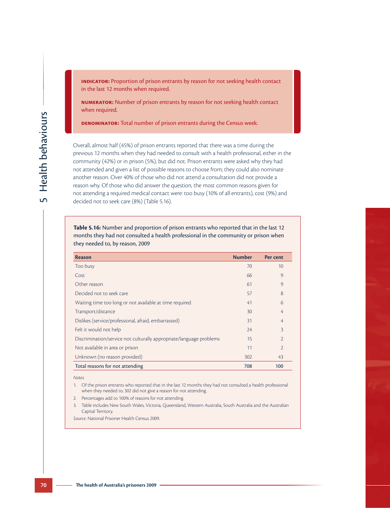**INDICATOR:** Proportion of prison entrants by reason for not seeking health contact in the last 12 months when required.

**Numerator:** Number of prison entrants by reason for not seeking health contact when required.

**Denominator:** Total number of prison entrants during the Census week.

Overall, almost half (45%) of prison entrants reported that there was a time during the previous 12 months when they had needed to consult with a health professional, either in the community (42%) or in prison (5%), but did not. Prison entrants were asked why they had not attended and given a list of possible reasons to choose from; they could also nominate another reason. Over 40% of those who did not attend a consultation did not provide a reason why. Of those who did answer the question, the most common reasons given for not attending a required medical contact were: too busy (10% of all entrants), cost (9%) and decided not to seek care (8%) (Table 5.16).

**Table 5.16:** Number and proportion of prison entrants who reported that in the last 12 months they had not consulted a health professional in the community or prison when

| <b>Reason</b>                                                       | <b>Number</b> | Per cent       |
|---------------------------------------------------------------------|---------------|----------------|
| Too busy                                                            | 70            | 10             |
| Cost                                                                | 66            | 9              |
| Other reason                                                        | 61            | $\circ$        |
| Decided not to seek care                                            | 57            | 8              |
| Waiting time too long or not available at time required             | 41            | 6              |
| Transport/distance                                                  | 30            | 4              |
| Dislikes (service/professional, afraid, embarrassed)                | 31            | 4              |
| Felt it would not help                                              | 24            | 3              |
| Discrimination/service not culturally appropriate/language problems | 15            | $\overline{2}$ |
| Not available in area or prison                                     | 11            | $\overline{2}$ |
| Unknown (no reason provided)                                        | 302           | 43             |
| Total reasons for not attending                                     | 708           | 100            |

*Notes*

- 1. Of the prison entrants who reported that in the last 12 months they had not consulted a health professional when they needed to, 302 did not give a reason for not attending.
- 2. Percentages add to 100% of reasons for not attending.
- 3. Table includes New South Wales, Victoria, Queensland, Western Australia, South Australia and the Australian Capital Territory.

*Source:* National Prisoner Health Census 2009.

they needed to, by reason, 2009